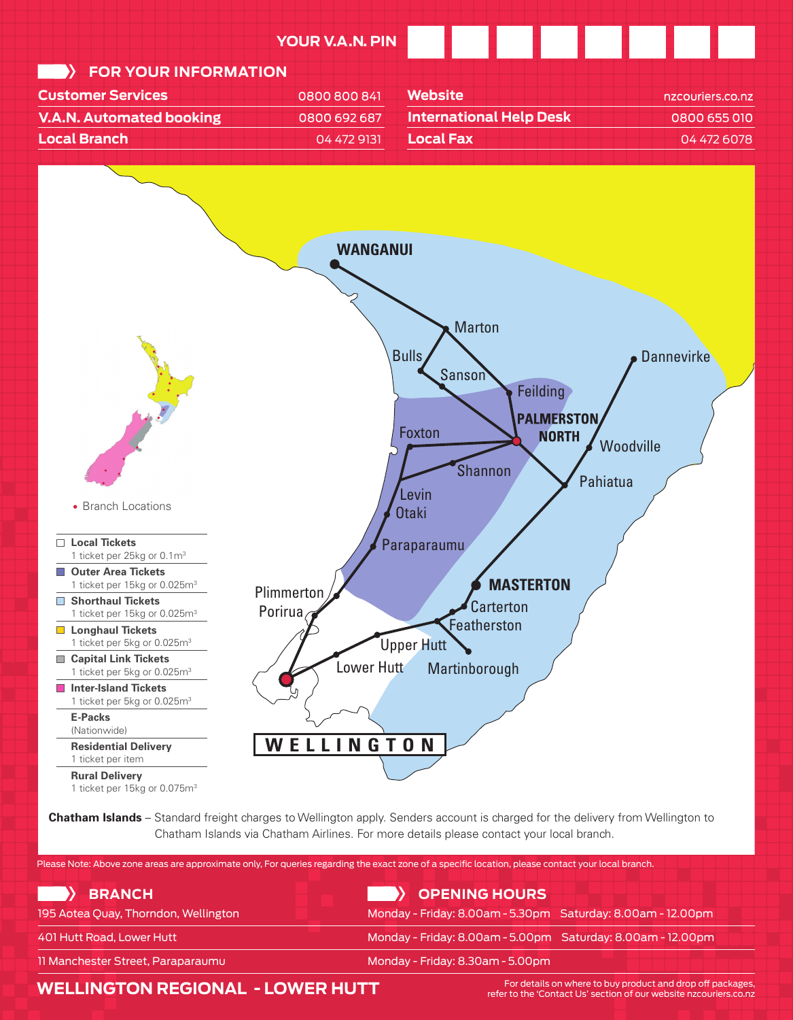

**Chatham Islands** – Standard freight charges to Wellington apply. Senders account is charged for the delivery from Wellington to Chatham Islands via Chatham Airlines. For more details please contact your local branch. Chatham Islands via Chatham Airlines. For more details please contact your local branch.

Please Note: Above zone areas are approximate only, For queries regarding the exact zone of a specific location, please contact your local branch.

| BRANCH                               | <b>Something HOURS</b>                                      |
|--------------------------------------|-------------------------------------------------------------|
| 195 Aotea Quay, Thorndon, Wellington | Monday - Friday: 8.00am - 5.30pm Saturday: 8.00am - 12.00pm |
| 401 Hutt Road, Lower Hutt            | Monday - Friday: 8.00am - 5.00pm Saturday: 8.00am - 12.00pm |
| 11 Manchester Street, Paraparaumu    | Monday - Friday: 8.30am - 5.00pm                            |

## **WELLINGTON REGIONAL - LOWER HUTT**

For details on where to buy product and drop off packages, refer to the 'Contact Us' section of our website nzcouriers.co.nz